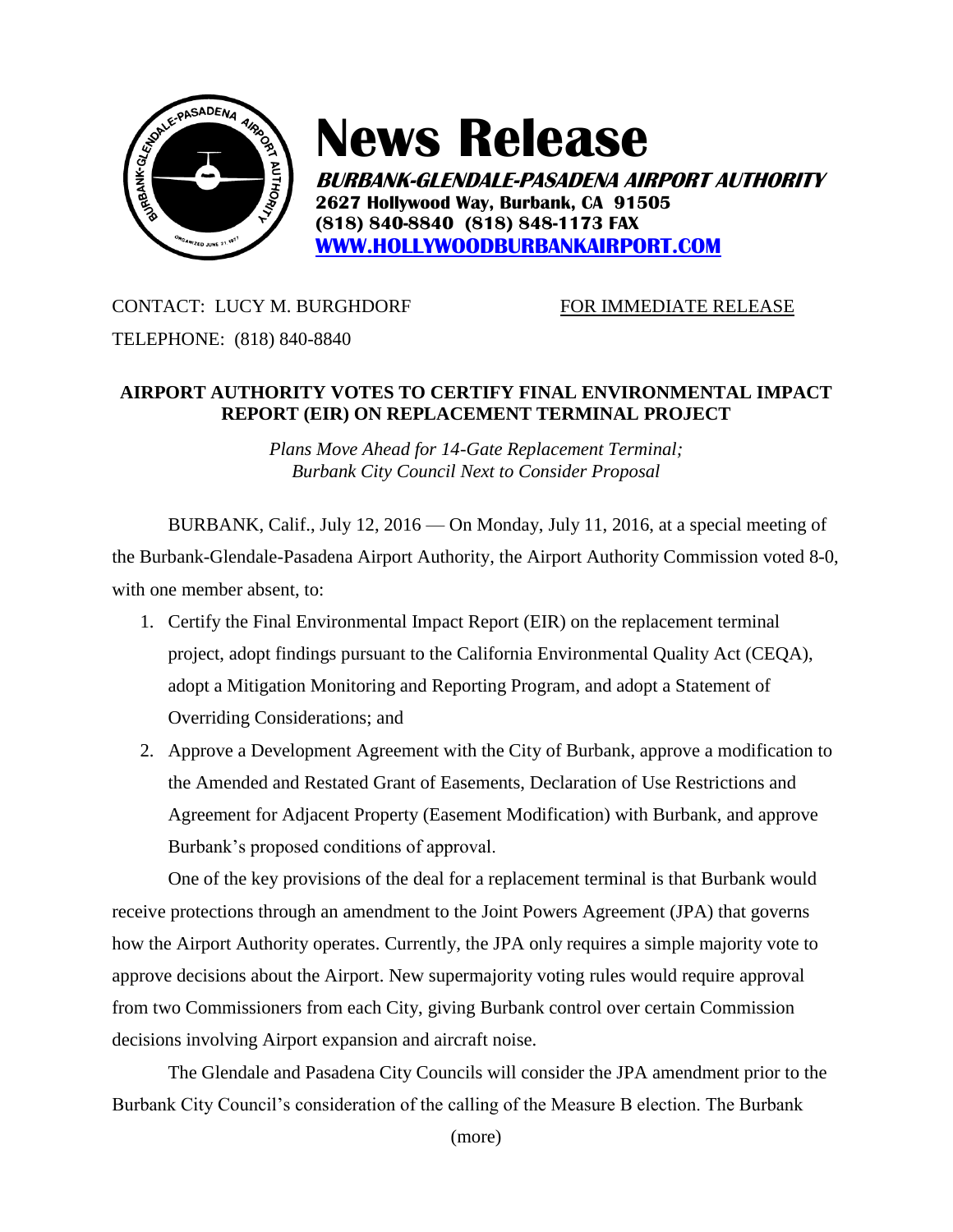

## **News Release**

**BURBANK-GLENDALE-PASADENA AIRPORT AUTHORITY 2627 Hollywood Way, Burbank, CA 91505 (818) 840-8840 (818) 848-1173 FAX [WWW.HOLLYWOODBURBANKAIRPORT.COM](http://www.hollywoodburbankairport.com/)**

## CONTACT: LUCY M. BURGHDORF FOR IMMEDIATE RELEASE

TELEPHONE: (818) 840-8840

## **AIRPORT AUTHORITY VOTES TO CERTIFY FINAL ENVIRONMENTAL IMPACT REPORT (EIR) ON REPLACEMENT TERMINAL PROJECT**

*Plans Move Ahead for 14-Gate Replacement Terminal; Burbank City Council Next to Consider Proposal* 

BURBANK, Calif., July 12, 2016 — On Monday, July 11, 2016, at a special meeting of the Burbank-Glendale-Pasadena Airport Authority, the Airport Authority Commission voted 8-0, with one member absent, to:

- 1. Certify the Final Environmental Impact Report (EIR) on the replacement terminal project, adopt findings pursuant to the California Environmental Quality Act (CEQA), adopt a Mitigation Monitoring and Reporting Program, and adopt a Statement of Overriding Considerations; and
- 2. Approve a Development Agreement with the City of Burbank, approve a modification to the Amended and Restated Grant of Easements, Declaration of Use Restrictions and Agreement for Adjacent Property (Easement Modification) with Burbank, and approve Burbank's proposed conditions of approval.

One of the key provisions of the deal for a replacement terminal is that Burbank would receive protections through an amendment to the Joint Powers Agreement (JPA) that governs how the Airport Authority operates. Currently, the JPA only requires a simple majority vote to approve decisions about the Airport. New supermajority voting rules would require approval from two Commissioners from each City, giving Burbank control over certain Commission decisions involving Airport expansion and aircraft noise.

The Glendale and Pasadena City Councils will consider the JPA amendment prior to the Burbank City Council's consideration of the calling of the Measure B election. The Burbank